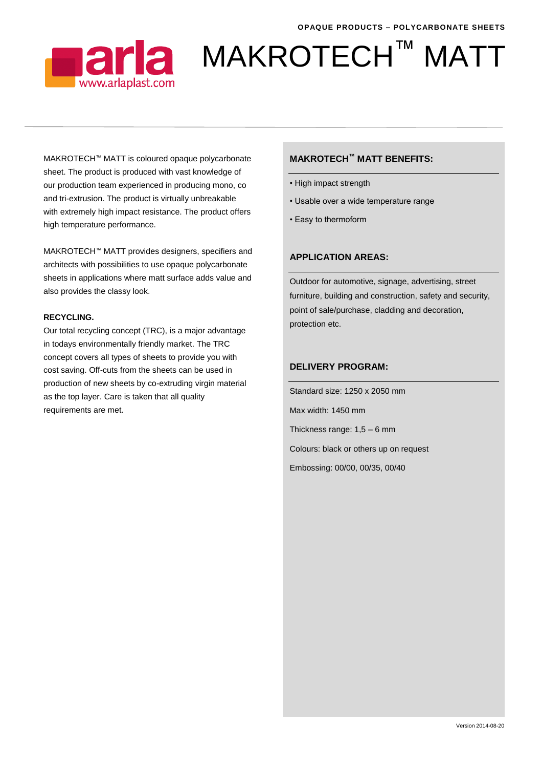

# ■arla MAKROTECH™ MATT

MAKROTECH™ MATT is coloured opaque polycarbonate sheet. The product is produced with vast knowledge of our production team experienced in producing mono, co and tri-extrusion. The product is virtually unbreakable with extremely high impact resistance. The product offers high temperature performance.

MAKROTECH™ MATT provides designers, specifiers and architects with possibilities to use opaque polycarbonate sheets in applications where matt surface adds value and also provides the classy look.

#### **RECYCLING.**

Our total recycling concept (TRC), is a major advantage in todays environmentally friendly market. The TRC concept covers all types of sheets to provide you with cost saving. Off-cuts from the sheets can be used in production of new sheets by co-extruding virgin material as the top layer. Care is taken that all quality requirements are met.

## **MAKROTECH™ MATT BENEFITS:**

- High impact strength
- Usable over a wide temperature range
- Easy to thermoform

# **APPLICATION AREAS:**

Outdoor for automotive, signage, advertising, street furniture, building and construction, safety and security, point of sale/purchase, cladding and decoration, protection etc.

## **DELIVERY PROGRAM:**

Standard size: 1250 x 2050 mm

Max width: 1450 mm

Thickness range: 1,5 – 6 mm

Colours: black or others up on request

Embossing: 00/00, 00/35, 00/40